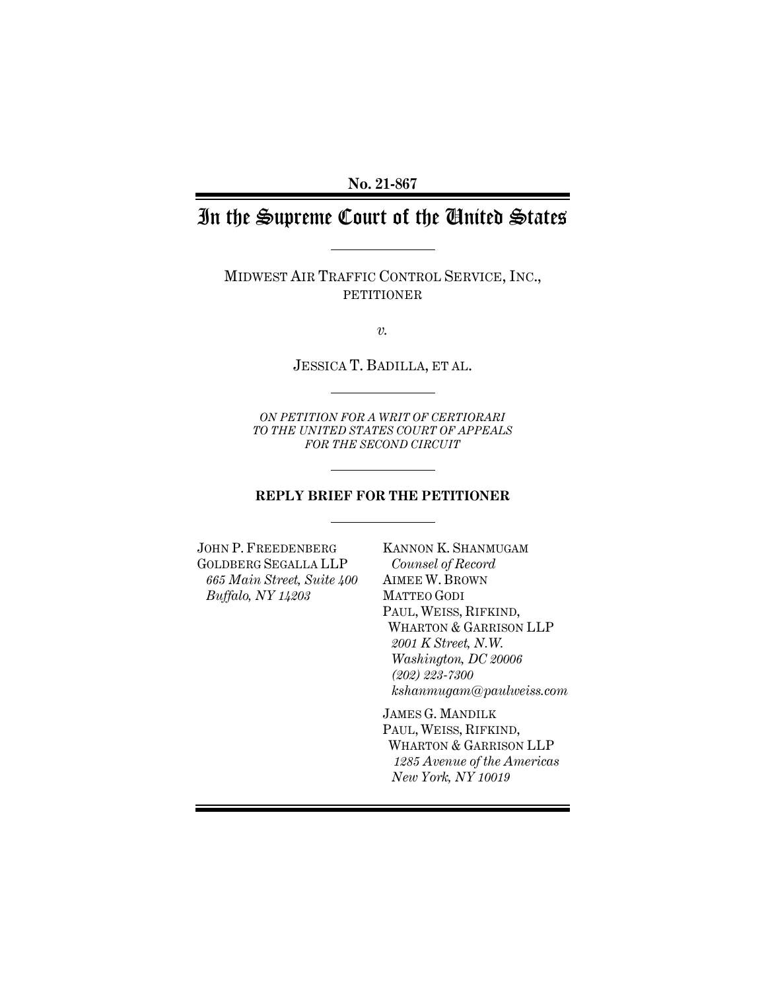**No. 21-867**

# In the Supreme Court of the United States

MIDWEST AIR TRAFFIC CONTROL SERVICE, INC., PETITIONER

*v.*

JESSICA T. BADILLA, ET AL.

*ON PETITION FOR A WRIT OF CERTIORARI TO THE UNITED STATES COURT OF APPEALS FOR THE SECOND CIRCUIT*

#### **REPLY BRIEF FOR THE PETITIONER**

JOHN P. FREEDENBERG GOLDBERG SEGALLA LLP *665 Main Street, Suite 400 Buffalo, NY 14203*

KANNON K. SHANMUGAM *Counsel of Record* AIMEE W. BROWN MATTEO GODI PAUL, WEISS, RIFKIND, WHARTON & GARRISON LLP *2001 K Street, N.W. Washington, DC 20006 (202) 223-7300 kshanmugam@paulweiss.com*

JAMES G. MANDILK PAUL, WEISS, RIFKIND, WHARTON & GARRISON LLP *1285 Avenue of the Americas New York, NY 10019*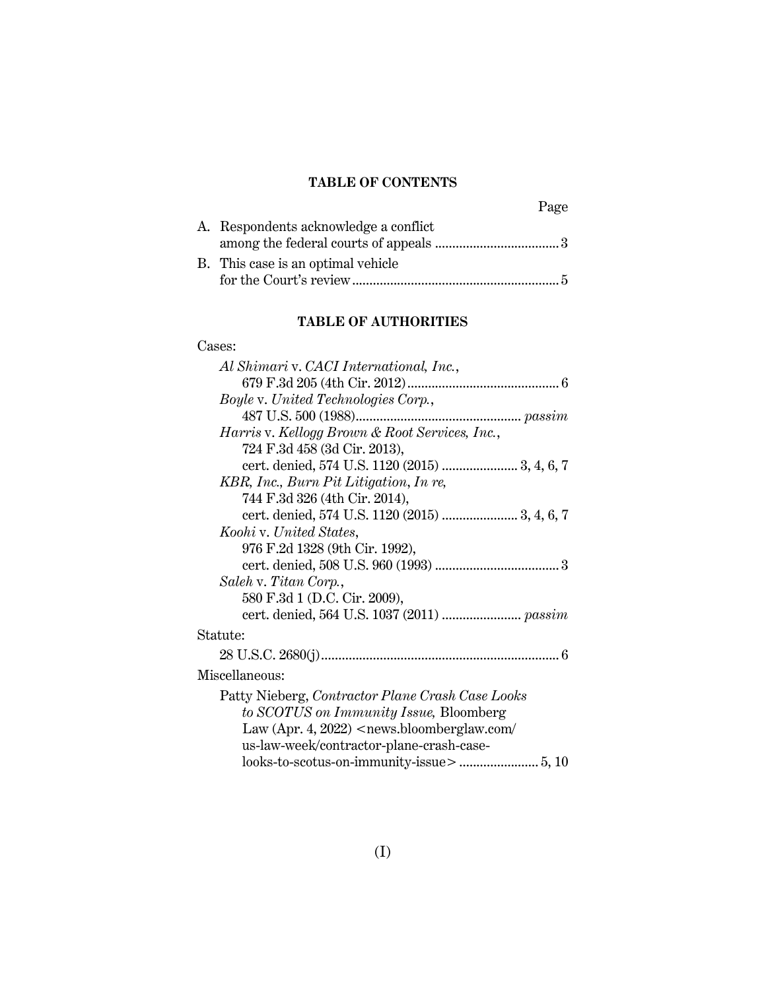### **TABLE OF CONTENTS**

| A. Respondents acknowledge a conflict |
|---------------------------------------|
|                                       |
| B. This case is an optimal vehicle    |
|                                       |

#### **TABLE OF AUTHORITIES**

#### Cases:

| Al Shimari v. CACI International, Inc.,          |
|--------------------------------------------------|
|                                                  |
| Boyle v. United Technologies Corp.,              |
|                                                  |
| Harris v. Kellogg Brown & Root Services, Inc.,   |
| 724 F.3d 458 (3d Cir. 2013),                     |
| cert. denied, 574 U.S. 1120 (2015)  3, 4, 6, 7   |
| KBR, Inc., Burn Pit Litigation, In re,           |
| 744 F.3d 326 (4th Cir. 2014),                    |
| cert. denied, 574 U.S. 1120 (2015)  3, 4, 6, 7   |
| Koohi v. United States,                          |
| 976 F.2d 1328 (9th Cir. 1992),                   |
|                                                  |
| Saleh v. Titan Corp.,                            |
| 580 F.3d 1 (D.C. Cir. 2009),                     |
|                                                  |
| Statute:                                         |
|                                                  |
| Miscellaneous:                                   |
| Patty Nieberg, Contractor Plane Crash Case Looks |
| to SCOTUS on Immunity Issue, Bloomberg           |
| Law (Apr. 4, 2022) $\le$ news.bloomberglaw.com/  |
| us-law-week/contractor-plane-crash-case-         |
|                                                  |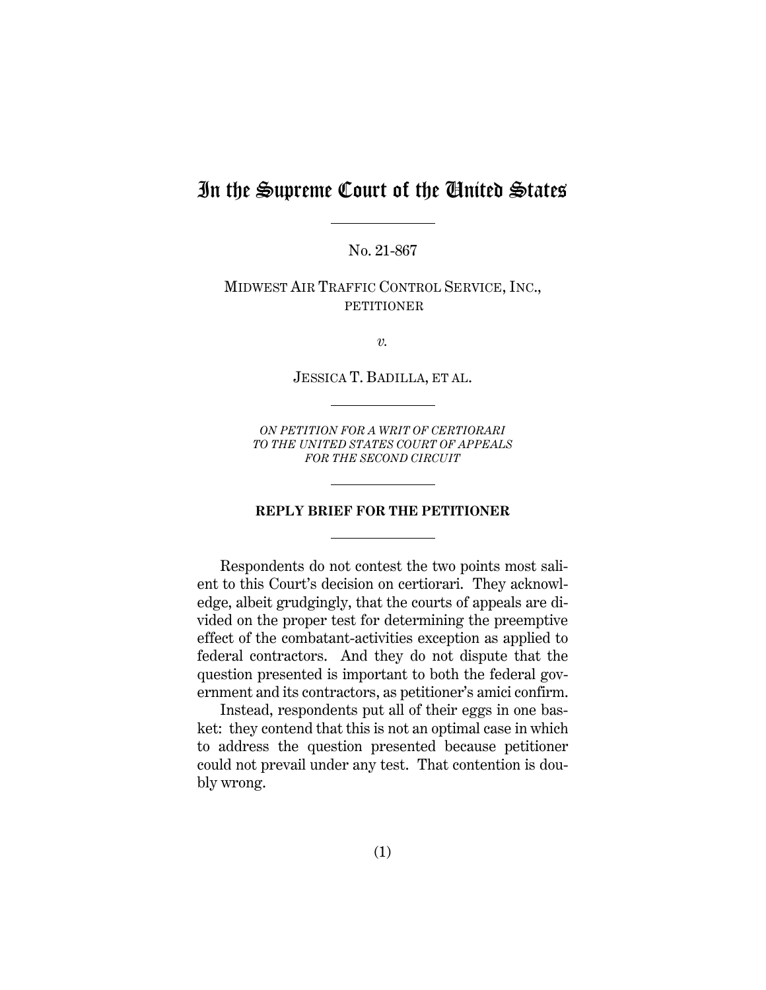## In the Supreme Court of the United States

No. 21-867

MIDWEST AIR TRAFFIC CONTROL SERVICE, INC., PETITIONER

*v.*

JESSICA T. BADILLA, ET AL.

*ON PETITION FOR A WRIT OF CERTIORARI TO THE UNITED STATES COURT OF APPEALS FOR THE SECOND CIRCUIT*

#### **REPLY BRIEF FOR THE PETITIONER**

Respondents do not contest the two points most salient to this Court's decision on certiorari. They acknowledge, albeit grudgingly, that the courts of appeals are divided on the proper test for determining the preemptive effect of the combatant-activities exception as applied to federal contractors. And they do not dispute that the question presented is important to both the federal government and its contractors, as petitioner's amici confirm.

Instead, respondents put all of their eggs in one basket: they contend that this is not an optimal case in which to address the question presented because petitioner could not prevail under any test. That contention is doubly wrong.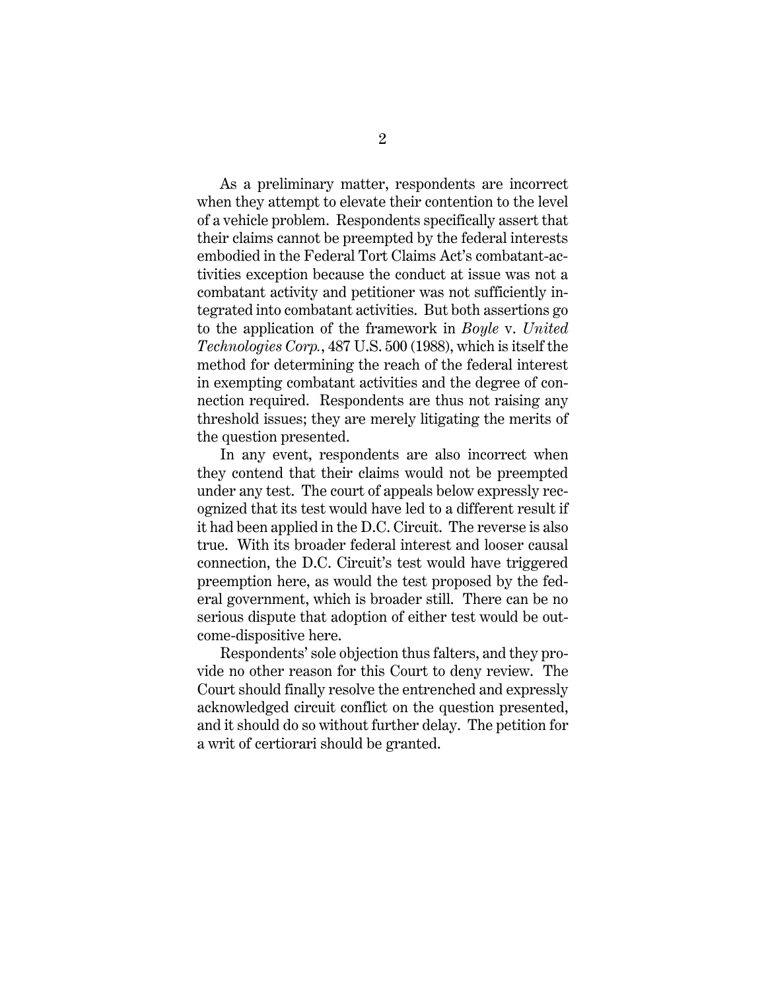As a preliminary matter, respondents are incorrect when they attempt to elevate their contention to the level of a vehicle problem. Respondents specifically assert that their claims cannot be preempted by the federal interests embodied in the Federal Tort Claims Act's combatant-activities exception because the conduct at issue was not a combatant activity and petitioner was not sufficiently integrated into combatant activities. But both assertions go to the application of the framework in *Boyle* v. *United Technologies Corp.*, 487 U.S. 500 (1988), which is itself the method for determining the reach of the federal interest in exempting combatant activities and the degree of connection required. Respondents are thus not raising any threshold issues; they are merely litigating the merits of the question presented.

In any event, respondents are also incorrect when they contend that their claims would not be preempted under any test. The court of appeals below expressly recognized that its test would have led to a different result if it had been applied in the D.C. Circuit. The reverse is also true. With its broader federal interest and looser causal connection, the D.C. Circuit's test would have triggered preemption here, as would the test proposed by the federal government, which is broader still. There can be no serious dispute that adoption of either test would be outcome-dispositive here.

Respondents' sole objection thus falters, and they provide no other reason for this Court to deny review. The Court should finally resolve the entrenched and expressly acknowledged circuit conflict on the question presented, and it should do so without further delay. The petition for a writ of certiorari should be granted.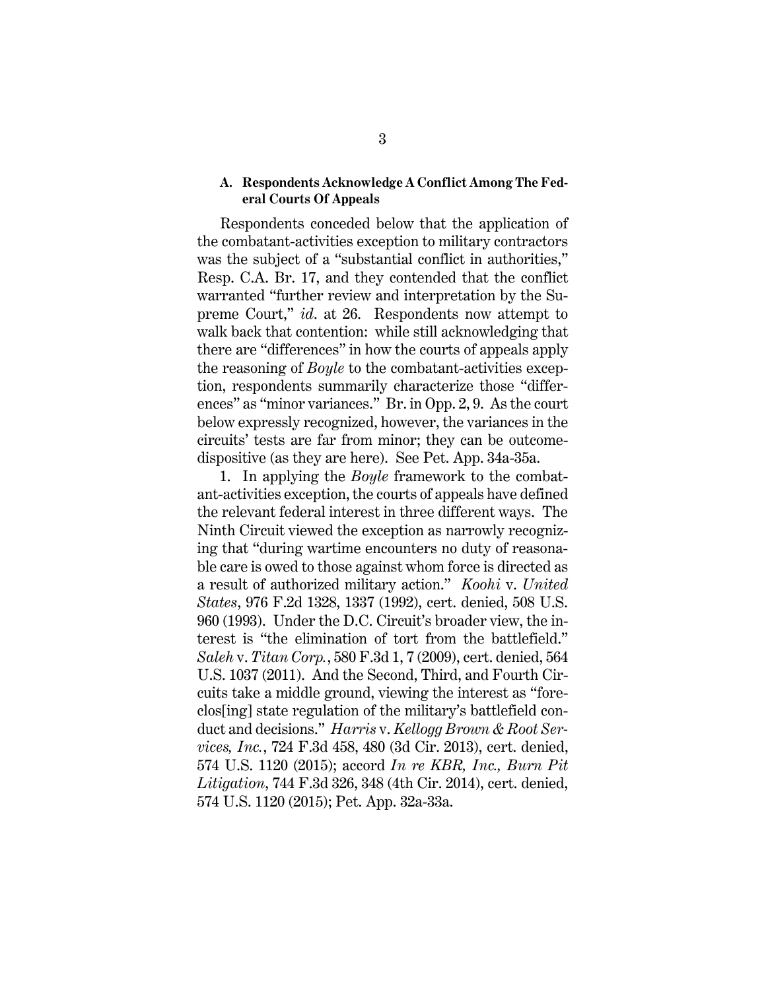#### **A. Respondents Acknowledge A Conflict Among The Federal Courts Of Appeals**

Respondents conceded below that the application of the combatant-activities exception to military contractors was the subject of a "substantial conflict in authorities," Resp. C.A. Br. 17, and they contended that the conflict warranted "further review and interpretation by the Supreme Court," *id*. at 26. Respondents now attempt to walk back that contention: while still acknowledging that there are "differences" in how the courts of appeals apply the reasoning of *Boyle* to the combatant-activities exception, respondents summarily characterize those "differences" as "minor variances." Br. in Opp. 2, 9. As the court below expressly recognized, however, the variances in the circuits' tests are far from minor; they can be outcomedispositive (as they are here). See Pet. App. 34a-35a.

1. In applying the *Boyle* framework to the combatant-activities exception, the courts of appeals have defined the relevant federal interest in three different ways. The Ninth Circuit viewed the exception as narrowly recognizing that "during wartime encounters no duty of reasonable care is owed to those against whom force is directed as a result of authorized military action." *Koohi* v. *United States*, 976 F.2d 1328, 1337 (1992), cert. denied, 508 U.S. 960 (1993). Under the D.C. Circuit's broader view, the interest is "the elimination of tort from the battlefield." *Saleh* v. *Titan Corp.*, 580 F.3d 1, 7 (2009), cert. denied, 564 U.S. 1037 (2011). And the Second, Third, and Fourth Circuits take a middle ground, viewing the interest as "foreclos[ing] state regulation of the military's battlefield conduct and decisions." *Harris* v. *Kellogg Brown & Root Services, Inc.*, 724 F.3d 458, 480 (3d Cir. 2013), cert. denied, 574 U.S. 1120 (2015); accord *In re KBR, Inc., Burn Pit Litigation*, 744 F.3d 326, 348 (4th Cir. 2014), cert. denied, 574 U.S. 1120 (2015); Pet. App. 32a-33a.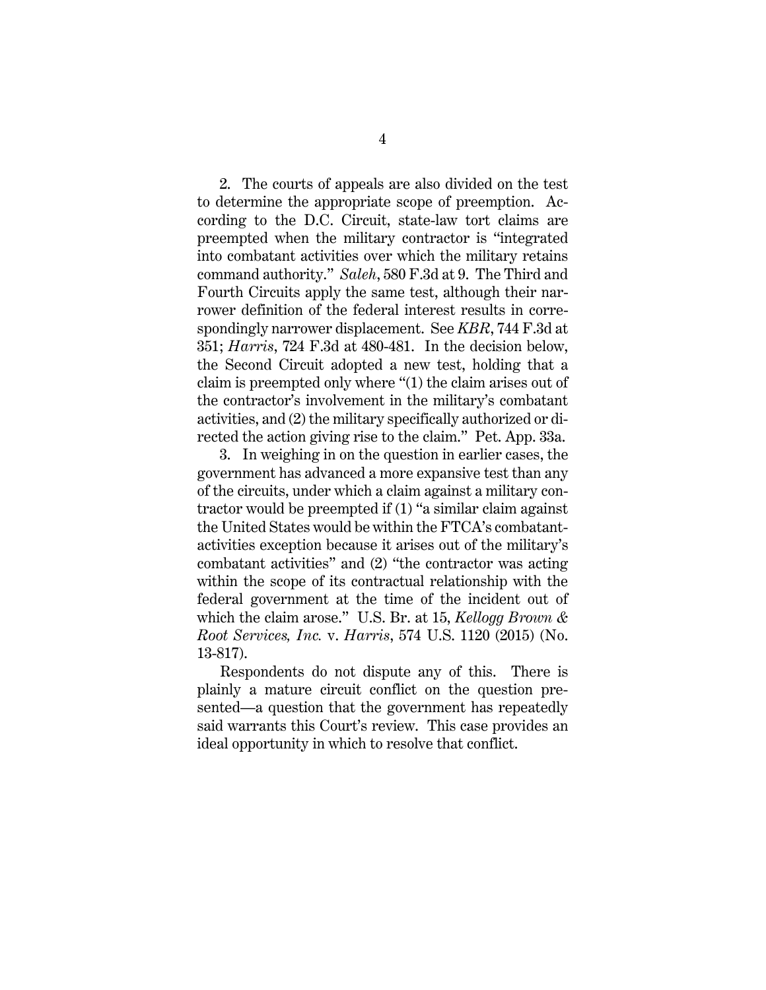2. The courts of appeals are also divided on the test to determine the appropriate scope of preemption. According to the D.C. Circuit, state-law tort claims are preempted when the military contractor is "integrated into combatant activities over which the military retains command authority." *Saleh*, 580 F.3d at 9. The Third and Fourth Circuits apply the same test, although their narrower definition of the federal interest results in correspondingly narrower displacement. See *KBR*, 744 F.3d at 351; *Harris*, 724 F.3d at 480-481. In the decision below, the Second Circuit adopted a new test, holding that a claim is preempted only where "(1) the claim arises out of the contractor's involvement in the military's combatant activities, and (2) the military specifically authorized or directed the action giving rise to the claim." Pet. App. 33a.

3. In weighing in on the question in earlier cases, the government has advanced a more expansive test than any of the circuits, under which a claim against a military contractor would be preempted if (1) "a similar claim against the United States would be within the FTCA's combatantactivities exception because it arises out of the military's combatant activities" and (2) "the contractor was acting within the scope of its contractual relationship with the federal government at the time of the incident out of which the claim arose." U.S. Br. at 15, *Kellogg Brown & Root Services, Inc.* v. *Harris*, 574 U.S. 1120 (2015) (No. 13-817).

Respondents do not dispute any of this. There is plainly a mature circuit conflict on the question presented—a question that the government has repeatedly said warrants this Court's review. This case provides an ideal opportunity in which to resolve that conflict.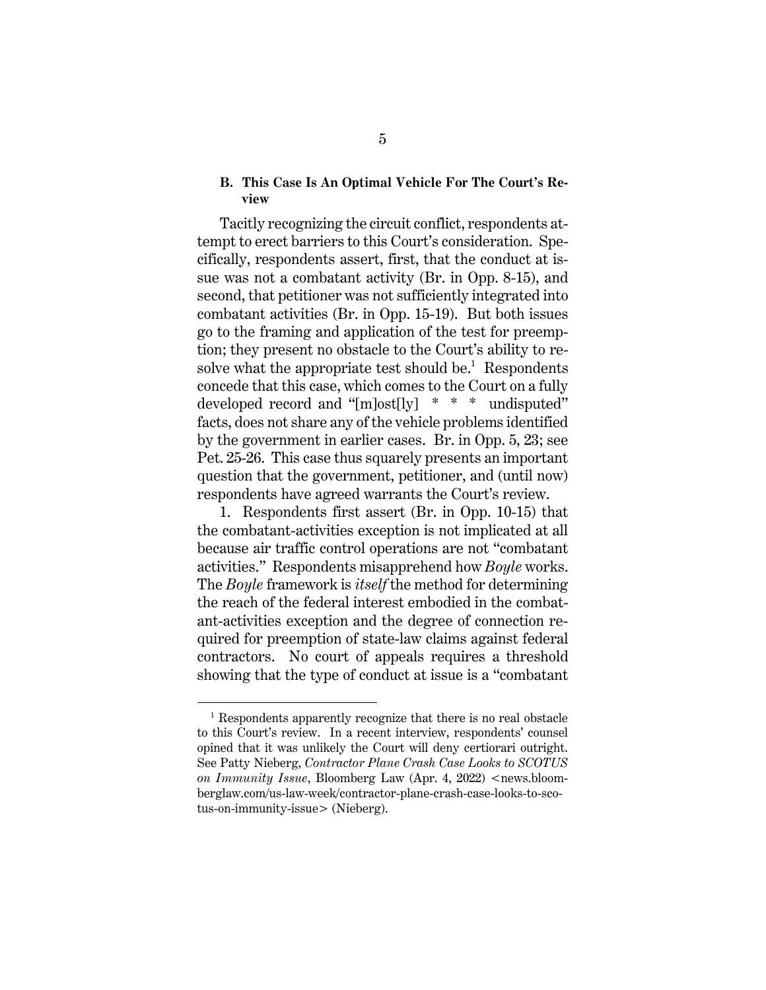#### **B. This Case Is An Optimal Vehicle For The Court's Review**

Tacitly recognizing the circuit conflict, respondents attempt to erect barriers to this Court's consideration. Specifically, respondents assert, first, that the conduct at issue was not a combatant activity (Br. in Opp. 8-15), and second, that petitioner was not sufficiently integrated into combatant activities (Br. in Opp. 15-19). But both issues go to the framing and application of the test for preemption; they present no obstacle to the Court's ability to resolve what the appropriate test should be.<sup>1</sup> Respondents concede that this case, which comes to the Court on a fully developed record and "[m]ost[ly] \* \* \* undisputed" facts, does not share any of the vehicle problems identified by the government in earlier cases. Br. in Opp. 5, 23; see Pet. 25-26. This case thus squarely presents an important question that the government, petitioner, and (until now) respondents have agreed warrants the Court's review.

1. Respondents first assert (Br. in Opp. 10-15) that the combatant-activities exception is not implicated at all because air traffic control operations are not "combatant activities." Respondents misapprehend how *Boyle* works. The *Boyle* framework is *itself* the method for determining the reach of the federal interest embodied in the combatant-activities exception and the degree of connection required for preemption of state-law claims against federal contractors. No court of appeals requires a threshold showing that the type of conduct at issue is a "combatant

 $\overline{a}$ 

 $1$  Respondents apparently recognize that there is no real obstacle to this Court's review. In a recent interview, respondents' counsel opined that it was unlikely the Court will deny certiorari outright. See Patty Nieberg, *Contractor Plane Crash Case Looks to SCOTUS on Immunity Issue*, Bloomberg Law (Apr. 4, 2022) <news.bloomberglaw.com/us-law-week/contractor-plane-crash-case-looks-to-scotus-on-immunity-issue> (Nieberg).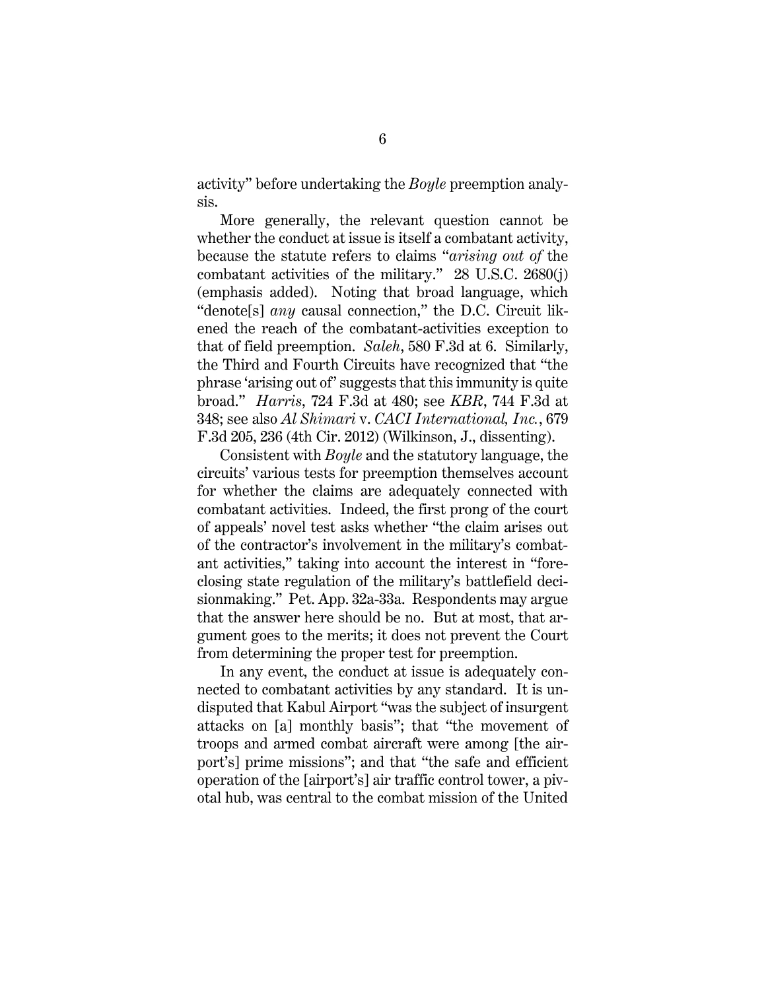activity" before undertaking the *Boyle* preemption analysis.

More generally, the relevant question cannot be whether the conduct at issue is itself a combatant activity, because the statute refers to claims "*arising out of* the combatant activities of the military." 28 U.S.C. 2680(j) (emphasis added). Noting that broad language, which "denote[s] *any* causal connection," the D.C. Circuit likened the reach of the combatant-activities exception to that of field preemption. *Saleh*, 580 F.3d at 6. Similarly, the Third and Fourth Circuits have recognized that "the phrase 'arising out of' suggests that this immunity is quite broad." *Harris*, 724 F.3d at 480; see *KBR*, 744 F.3d at 348; see also *Al Shimari* v. *CACI International, Inc.*, 679 F.3d 205, 236 (4th Cir. 2012) (Wilkinson, J., dissenting).

Consistent with *Boyle* and the statutory language, the circuits' various tests for preemption themselves account for whether the claims are adequately connected with combatant activities. Indeed, the first prong of the court of appeals' novel test asks whether "the claim arises out of the contractor's involvement in the military's combatant activities," taking into account the interest in "foreclosing state regulation of the military's battlefield decisionmaking." Pet. App. 32a-33a. Respondents may argue that the answer here should be no. But at most, that argument goes to the merits; it does not prevent the Court from determining the proper test for preemption.

In any event, the conduct at issue is adequately connected to combatant activities by any standard. It is undisputed that Kabul Airport "was the subject of insurgent attacks on [a] monthly basis"; that "the movement of troops and armed combat aircraft were among [the airport's] prime missions"; and that "the safe and efficient operation of the [airport's] air traffic control tower, a pivotal hub, was central to the combat mission of the United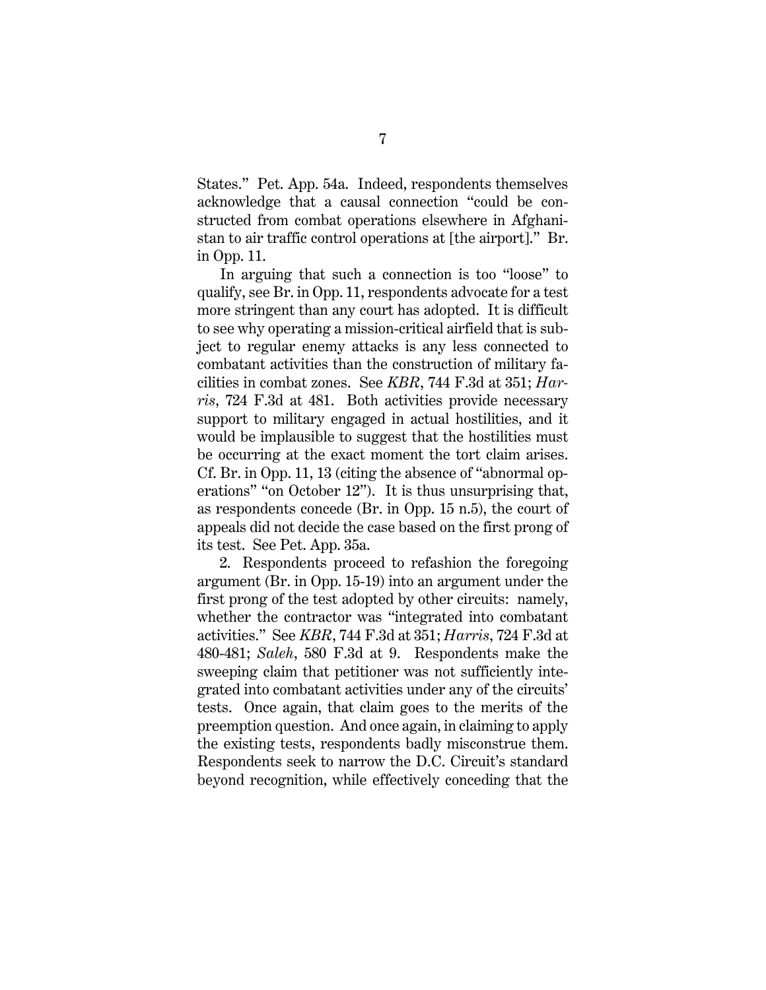States." Pet. App. 54a. Indeed, respondents themselves acknowledge that a causal connection "could be constructed from combat operations elsewhere in Afghanistan to air traffic control operations at [the airport]." Br. in Opp. 11.

In arguing that such a connection is too "loose" to qualify, see Br. in Opp. 11, respondents advocate for a test more stringent than any court has adopted. It is difficult to see why operating a mission-critical airfield that is subject to regular enemy attacks is any less connected to combatant activities than the construction of military facilities in combat zones. See *KBR*, 744 F.3d at 351; *Harris*, 724 F.3d at 481. Both activities provide necessary support to military engaged in actual hostilities, and it would be implausible to suggest that the hostilities must be occurring at the exact moment the tort claim arises. Cf. Br. in Opp. 11, 13 (citing the absence of "abnormal operations" "on October 12"). It is thus unsurprising that, as respondents concede (Br. in Opp. 15 n.5), the court of appeals did not decide the case based on the first prong of its test. See Pet. App. 35a.

2. Respondents proceed to refashion the foregoing argument (Br. in Opp. 15-19) into an argument under the first prong of the test adopted by other circuits: namely, whether the contractor was "integrated into combatant activities." See *KBR*, 744 F.3d at 351; *Harris*, 724 F.3d at 480-481; *Saleh*, 580 F.3d at 9. Respondents make the sweeping claim that petitioner was not sufficiently integrated into combatant activities under any of the circuits' tests. Once again, that claim goes to the merits of the preemption question. And once again, in claiming to apply the existing tests, respondents badly misconstrue them. Respondents seek to narrow the D.C. Circuit's standard beyond recognition, while effectively conceding that the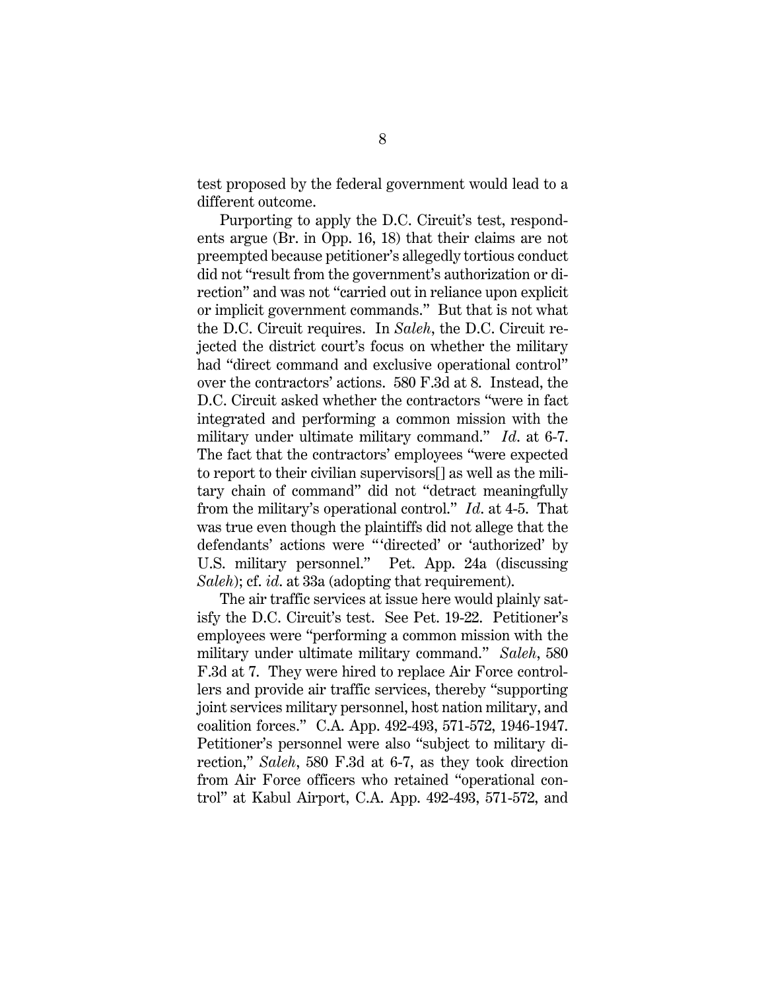test proposed by the federal government would lead to a different outcome.

Purporting to apply the D.C. Circuit's test, respondents argue (Br. in Opp. 16, 18) that their claims are not preempted because petitioner's allegedly tortious conduct did not "result from the government's authorization or direction" and was not "carried out in reliance upon explicit or implicit government commands." But that is not what the D.C. Circuit requires. In *Saleh*, the D.C. Circuit rejected the district court's focus on whether the military had "direct command and exclusive operational control" over the contractors' actions. 580 F.3d at 8. Instead, the D.C. Circuit asked whether the contractors "were in fact integrated and performing a common mission with the military under ultimate military command." *Id*. at 6-7. The fact that the contractors' employees "were expected to report to their civilian supervisors[] as well as the military chain of command" did not "detract meaningfully from the military's operational control." *Id*. at 4-5. That was true even though the plaintiffs did not allege that the defendants' actions were "'directed' or 'authorized' by U.S. military personnel." Pet. App. 24a (discussing *Saleh*); cf. *id*. at 33a (adopting that requirement).

The air traffic services at issue here would plainly satisfy the D.C. Circuit's test. See Pet. 19-22. Petitioner's employees were "performing a common mission with the military under ultimate military command." *Saleh*, 580 F.3d at 7. They were hired to replace Air Force controllers and provide air traffic services, thereby "supporting joint services military personnel, host nation military, and coalition forces." C.A. App. 492-493, 571-572, 1946-1947. Petitioner's personnel were also "subject to military direction," *Saleh*, 580 F.3d at 6-7, as they took direction from Air Force officers who retained "operational control" at Kabul Airport, C.A. App. 492-493, 571-572, and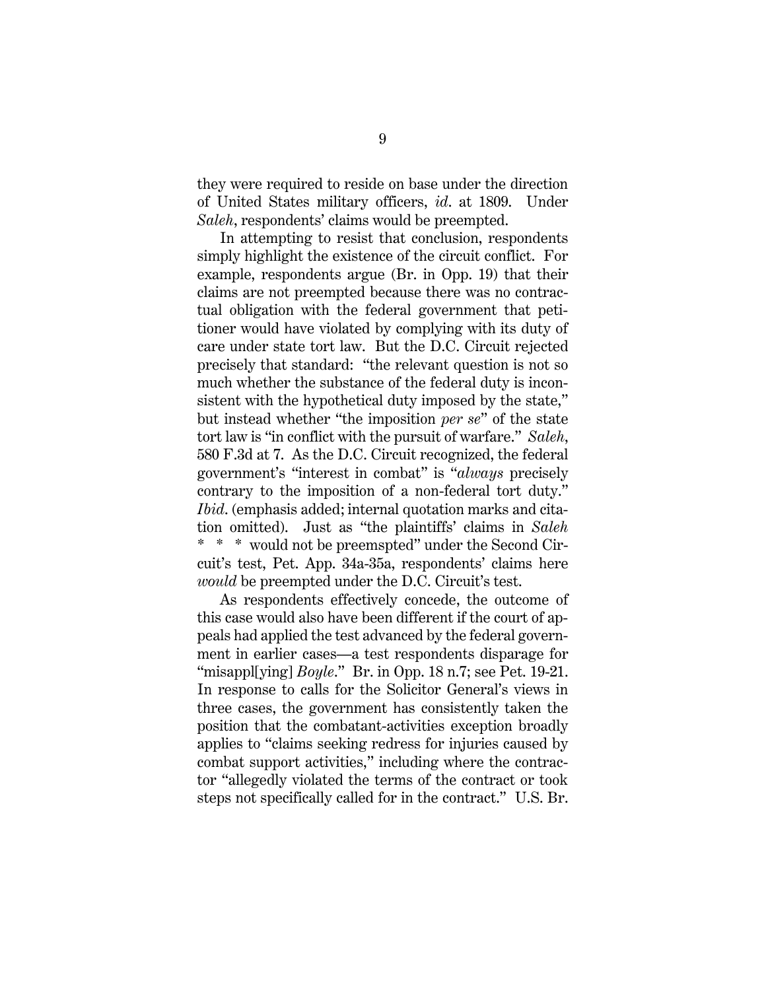they were required to reside on base under the direction of United States military officers, *id*. at 1809. Under *Saleh*, respondents' claims would be preempted.

In attempting to resist that conclusion, respondents simply highlight the existence of the circuit conflict. For example, respondents argue (Br. in Opp. 19) that their claims are not preempted because there was no contractual obligation with the federal government that petitioner would have violated by complying with its duty of care under state tort law. But the D.C. Circuit rejected precisely that standard: "the relevant question is not so much whether the substance of the federal duty is inconsistent with the hypothetical duty imposed by the state," but instead whether "the imposition *per se*" of the state tort law is "in conflict with the pursuit of warfare." *Saleh*, 580 F.3d at 7. As the D.C. Circuit recognized, the federal government's "interest in combat" is "*always* precisely contrary to the imposition of a non-federal tort duty." *Ibid*. (emphasis added; internal quotation marks and citation omitted). Just as "the plaintiffs' claims in *Saleh* \* \* \* would not be preemspted" under the Second Circuit's test, Pet. App. 34a-35a, respondents' claims here *would* be preempted under the D.C. Circuit's test.

As respondents effectively concede, the outcome of this case would also have been different if the court of appeals had applied the test advanced by the federal government in earlier cases—a test respondents disparage for "misappl[ying] *Boyle*." Br. in Opp. 18 n.7; see Pet. 19-21. In response to calls for the Solicitor General's views in three cases, the government has consistently taken the position that the combatant-activities exception broadly applies to "claims seeking redress for injuries caused by combat support activities," including where the contractor "allegedly violated the terms of the contract or took steps not specifically called for in the contract." U.S. Br.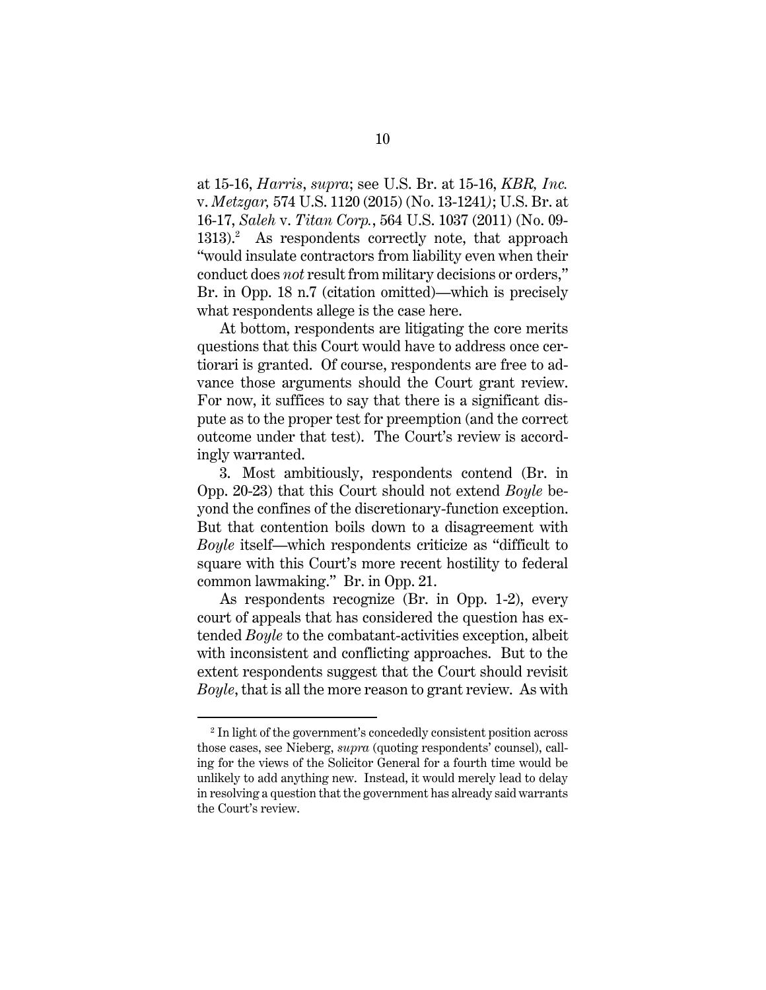at 15-16, *Harris*, *supra*; see U.S. Br. at 15-16, *KBR, Inc.*  v. *Metzgar,* 574 U.S. 1120 (2015) (No. 13-1241*)*; U.S. Br. at 16-17, *Saleh* v. *Titan Corp.*, 564 U.S. 1037 (2011) (No. 09- 1313). 2 As respondents correctly note, that approach "would insulate contractors from liability even when their conduct does *not* result from military decisions or orders," Br. in Opp. 18 n.7 (citation omitted)—which is precisely what respondents allege is the case here.

At bottom, respondents are litigating the core merits questions that this Court would have to address once certiorari is granted. Of course, respondents are free to advance those arguments should the Court grant review. For now, it suffices to say that there is a significant dispute as to the proper test for preemption (and the correct outcome under that test). The Court's review is accordingly warranted.

3. Most ambitiously, respondents contend (Br. in Opp. 20-23) that this Court should not extend *Boyle* beyond the confines of the discretionary-function exception. But that contention boils down to a disagreement with *Boyle* itself—which respondents criticize as "difficult to square with this Court's more recent hostility to federal common lawmaking." Br. in Opp. 21.

As respondents recognize (Br. in Opp. 1-2), every court of appeals that has considered the question has extended *Boyle* to the combatant-activities exception, albeit with inconsistent and conflicting approaches. But to the extent respondents suggest that the Court should revisit *Boyle*, that is all the more reason to grant review. As with

 $\overline{a}$ 

<sup>&</sup>lt;sup>2</sup> In light of the government's concededly consistent position across those cases, see Nieberg, *supra* (quoting respondents' counsel), calling for the views of the Solicitor General for a fourth time would be unlikely to add anything new. Instead, it would merely lead to delay in resolving a question that the government has already said warrants the Court's review.